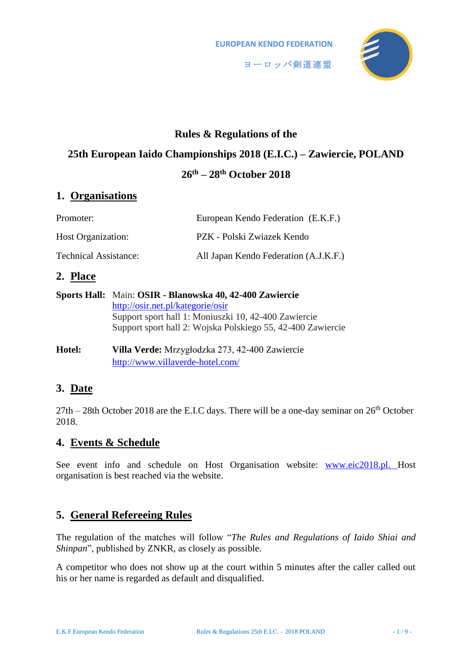

# **Rules & Regulations of the**

# **25th European Iaido Championships 2018 (E.I.C.) – Zawiercie, POLAND**

# **26th – 28th October 2018**

# **1. Organisations**

| Promoter:                    | European Kendo Federation (E.K.F.)    |
|------------------------------|---------------------------------------|
| <b>Host Organization:</b>    | PZK - Polski Zwiazek Kendo            |
| <b>Technical Assistance:</b> | All Japan Kendo Federation (A.J.K.F.) |

# **2. Place**

| Sports Hall: Main: OSIR - Blanowska 40, 42-400 Zawiercie    |  |
|-------------------------------------------------------------|--|
| http://osir.net.pl/kategorie/osir                           |  |
| Support sport hall 1: Moniuszki 10, 42-400 Zawiercie        |  |
| Support sport hall 2: Wojska Polskiego 55, 42-400 Zawiercie |  |
|                                                             |  |

**Hotel: Villa Verde:** Mrzygłodzka 273, 42-400 Zawiercie <http://www.villaverde-hotel.com/>

# **3. Date**

 $27th - 28th$  October 2018 are the E.I.C days. There will be a one-day seminar on  $26<sup>th</sup>$  October 2018.

# **4. Events & Schedule**

See event info and schedule on Host Organisation website: [www.eic2018.pl. H](http://www.eic2018.pl./)ost organisation is best reached via the website.

# **5. General Refereeing Rules**

The regulation of the matches will follow "*The Rules and Regulations of Iaido Shiai and Shinpan*", published by ZNKR, as closely as possible.

A competitor who does not show up at the court within 5 minutes after the caller called out his or her name is regarded as default and disqualified.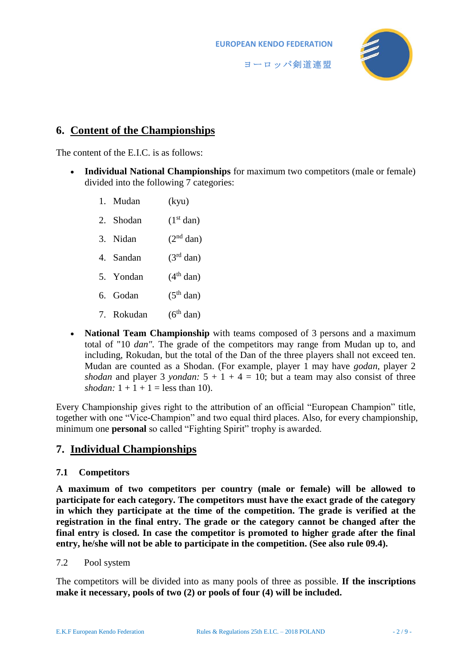



# **6. Content of the Championships**

The content of the E.I.C. is as follows:

- **Individual National Championships** for maximum two competitors (male or female) divided into the following 7 categories:
	- 1. Mudan (kyu)
	- 2. Shodan  $(1<sup>st</sup> dan)$
	- 3. Nidan  $(2<sup>nd</sup> dan)$
	- 4. Sandan (3rd dan)
	- 5. Yondan  $(4<sup>th</sup> \text{ dan})$
	- 6. Godan  $(5^{th}$  dan)
	- 7. Rokudan  $(6<sup>th</sup>$  dan)
- **National Team Championship** with teams composed of 3 persons and a maximum total of "10 *dan".* The grade of the competitors may range from Mudan up to, and including, Rokudan, but the total of the Dan of the three players shall not exceed ten. Mudan are counted as a Shodan. (For example, player 1 may have *godan,* player 2 *shodan* and player 3 *yondan:*  $5 + 1 + 4 = 10$ ; but a team may also consist of three *shodan:*  $1 + 1 + 1 =$  less than 10).

Every Championship gives right to the attribution of an official "European Champion" title, together with one "Vice-Champion" and two equal third places. Also, for every championship, minimum one **personal** so called "Fighting Spirit" trophy is awarded.

# **7. Individual Championships**

#### **7.1 Competitors**

<span id="page-1-0"></span>**A maximum of two competitors per country (male or female) will be allowed to participate for each category. The competitors must have the exact grade of the category**  in which they participate at the time of the competition. The grade is verified at the **registration in the final entry. The grade or the category cannot be changed after the final entry is closed. In case the competitor is promoted to higher grade after the final entry, he/she will not be able to participate in the competition. (See also rule 09.4).**

#### 7.2 Pool system

The competitors will be divided into as many pools of three as possible. **If the inscriptions make it necessary, pools of two (2) or pools of four (4) will be included.**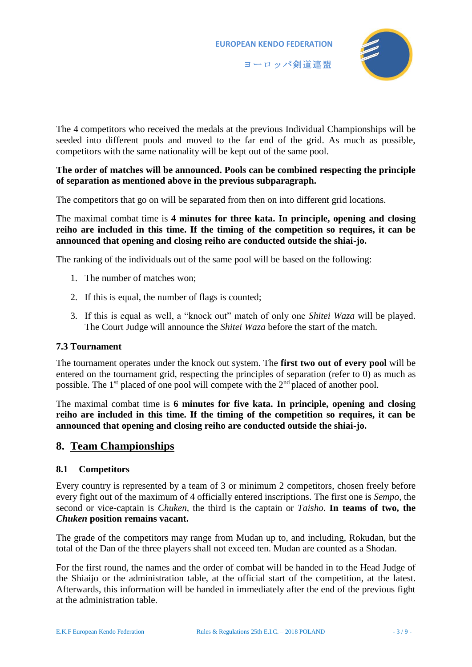

The 4 competitors who received the medals at the previous Individual Championships will be seeded into different pools and moved to the far end of the grid. As much as possible, competitors with the same nationality will be kept out of the same pool.

#### **The order of matches will be announced. Pools can be combined respecting the principle of separation as mentioned above in the previous subparagraph.**

The competitors that go on will be separated from then on into different grid locations.

The maximal combat time is **4 minutes for three kata. In principle, opening and closing reiho are included in this time. If the timing of the competition so requires, it can be announced that opening and closing reiho are conducted outside the shiai-jo.**

The ranking of the individuals out of the same pool will be based on the following:

- 1. The number of matches won;
- 2. If this is equal, the number of flags is counted;
- 3. If this is equal as well, a "knock out" match of only one *Shitei Waza* will be played. The Court Judge will announce the *Shitei Waza* before the start of the match.

### **7.3 Tournament**

The tournament operates under the knock out system. The **first two out of every pool** will be entered on the tournament grid, respecting the principles of separation (refer to [0\)](#page-1-0) as much as possible. The 1<sup>st</sup> placed of one pool will compete with the 2<sup>nd</sup> placed of another pool.

The maximal combat time is **6 minutes for five kata. In principle, opening and closing reiho are included in this time. If the timing of the competition so requires, it can be announced that opening and closing reiho are conducted outside the shiai-jo.**

### **8. Team Championships**

#### **8.1 Competitors**

Every country is represented by a team of 3 or minimum 2 competitors, chosen freely before every fight out of the maximum of 4 officially entered inscriptions. The first one is *Sempo*, the second or vice-captain is *Chuken*, the third is the captain or *Taisho*. **In teams of two, the**  *Chuken* **position remains vacant.**

The grade of the competitors may range from Mudan up to, and including, Rokudan, but the total of the Dan of the three players shall not exceed ten. Mudan are counted as a Shodan.

For the first round, the names and the order of combat will be handed in to the Head Judge of the Shiaijo or the administration table, at the official start of the competition, at the latest. Afterwards, this information will be handed in immediately after the end of the previous fight at the administration table.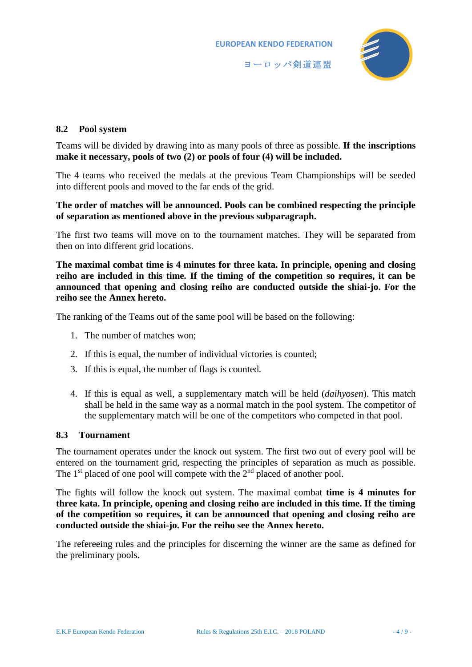

#### **8.2 Pool system**

Teams will be divided by drawing into as many pools of three as possible. **If the inscriptions make it necessary, pools of two (2) or pools of four (4) will be included.**

The 4 teams who received the medals at the previous Team Championships will be seeded into different pools and moved to the far ends of the grid.

#### **The order of matches will be announced. Pools can be combined respecting the principle of separation as mentioned above in the previous subparagraph.**

The first two teams will move on to the tournament matches. They will be separated from then on into different grid locations.

**The maximal combat time is 4 minutes for three kata. In principle, opening and closing reiho are included in this time. If the timing of the competition so requires, it can be announced that opening and closing reiho are conducted outside the shiai-jo. For the reiho see the Annex hereto.**

The ranking of the Teams out of the same pool will be based on the following:

- 1. The number of matches won;
- 2. If this is equal, the number of individual victories is counted;
- 3. If this is equal, the number of flags is counted.
- 4. If this is equal as well, a supplementary match will be held (*daihyosen*). This match shall be held in the same way as a normal match in the pool system. The competitor of the supplementary match will be one of the competitors who competed in that pool.

#### **8.3 Tournament**

The tournament operates under the knock out system. The first two out of every pool will be entered on the tournament grid, respecting the principles of separation as much as possible. The  $1<sup>st</sup>$  placed of one pool will compete with the  $2<sup>nd</sup>$  placed of another pool.

The fights will follow the knock out system. The maximal combat **time is 4 minutes for three kata. In principle, opening and closing reiho are included in this time. If the timing of the competition so requires, it can be announced that opening and closing reiho are conducted outside the shiai-jo. For the reiho see the Annex hereto.**

The refereeing rules and the principles for discerning the winner are the same as defined for the preliminary pools.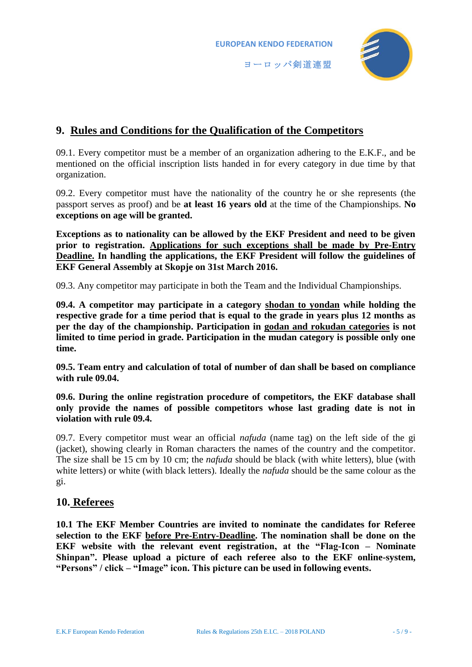

# **9. Rules and Conditions for the Qualification of the Competitors**

09.1. Every competitor must be a member of an organization adhering to the E.K.F., and be mentioned on the official inscription lists handed in for every category in due time by that organization.

09.2. Every competitor must have the nationality of the country he or she represents (the passport serves as proof) and be **at least 16 years old** at the time of the Championships. **No exceptions on age will be granted.**

**Exceptions as to nationality can be allowed by the EKF President and need to be given prior to registration. Applications for such exceptions shall be made by Pre-Entry Deadline. In handling the applications, the EKF President will follow the guidelines of EKF General Assembly at Skopje on 31st March 2016.**

09.3. Any competitor may participate in both the Team and the Individual Championships.

**09.4. A competitor may participate in a category shodan to yondan while holding the respective grade for a time period that is equal to the grade in years plus 12 months as per the day of the championship. Participation in godan and rokudan categories is not limited to time period in grade. Participation in the mudan category is possible only one time.**

**09.5. Team entry and calculation of total of number of dan shall be based on compliance with rule 09.04.**

**09.6. During the online registration procedure of competitors, the EKF database shall only provide the names of possible competitors whose last grading date is not in violation with rule 09.4.**

09.7. Every competitor must wear an official *nafuda* (name tag) on the left side of the gi (jacket), showing clearly in Roman characters the names of the country and the competitor. The size shall be 15 cm by 10 cm; the *nafuda* should be black (with white letters), blue (with white letters) or white (with black letters). Ideally the *nafuda* should be the same colour as the gi.

### **10. Referees**

**10.1 The EKF Member Countries are invited to nominate the candidates for Referee selection to the EKF before Pre-Entry-Deadline. The nomination shall be done on the EKF website with the relevant event registration, at the "Flag-Icon – Nominate Shinpan". Please upload a picture of each referee also to the EKF online-system, "Persons" / click – "Image" icon. This picture can be used in following events.**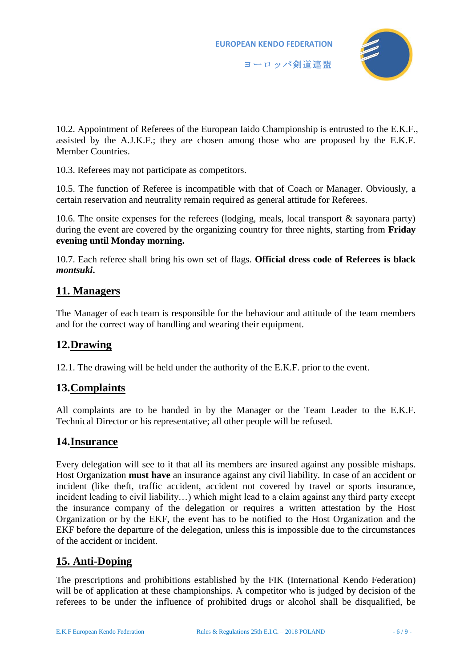

10.2. Appointment of Referees of the European Iaido Championship is entrusted to the E.K.F., assisted by the A.J.K.F.; they are chosen among those who are proposed by the E.K.F. Member Countries.

10.3. Referees may not participate as competitors.

10.5. The function of Referee is incompatible with that of Coach or Manager. Obviously, a certain reservation and neutrality remain required as general attitude for Referees.

10.6. The onsite expenses for the referees (lodging, meals, local transport & sayonara party) during the event are covered by the organizing country for three nights, starting from **Friday evening until Monday morning.**

10.7. Each referee shall bring his own set of flags. **Official dress code of Referees is black**  *montsuki***.** 

# **11. Managers**

The Manager of each team is responsible for the behaviour and attitude of the team members and for the correct way of handling and wearing their equipment.

# **12.Drawing**

12.1. The drawing will be held under the authority of the E.K.F. prior to the event.

# **13.Complaints**

All complaints are to be handed in by the Manager or the Team Leader to the E.K.F. Technical Director or his representative; all other people will be refused.

# **14.Insurance**

Every delegation will see to it that all its members are insured against any possible mishaps. Host Organization **must have** an insurance against any civil liability. In case of an accident or incident (like theft, traffic accident, accident not covered by travel or sports insurance, incident leading to civil liability…) which might lead to a claim against any third party except the insurance company of the delegation or requires a written attestation by the Host Organization or by the EKF, the event has to be notified to the Host Organization and the EKF before the departure of the delegation, unless this is impossible due to the circumstances of the accident or incident.

# **15. Anti-Doping**

The prescriptions and prohibitions established by the FIK (International Kendo Federation) will be of application at these championships. A competitor who is judged by decision of the referees to be under the influence of prohibited drugs or alcohol shall be disqualified, be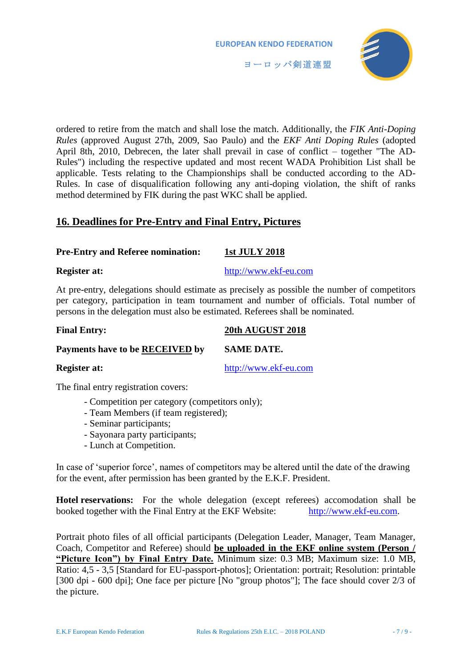



ordered to retire from the match and shall lose the match. Additionally, the *FIK Anti-Doping Rules* (approved August 27th, 2009, Sao Paulo) and the *EKF Anti Doping Rules* (adopted April 8th, 2010, Debrecen, the later shall prevail in case of conflict – together "The AD-Rules") including the respective updated and most recent WADA Prohibition List shall be applicable. Tests relating to the Championships shall be conducted according to the AD-Rules. In case of disqualification following any anti-doping violation, the shift of ranks method determined by FIK during the past WKC shall be applied.

# **16. Deadlines for Pre-Entry and Final Entry, Pictures**

#### **Pre-Entry and Referee nomination: 1st JULY 2018**

**Register at:** [http://www.ekf-eu.com](http://www.ekf-eu.com/)

At pre-entry, delegations should estimate as precisely as possible the number of competitors per category, participation in team tournament and number of officials. Total number of persons in the delegation must also be estimated. Referees shall be nominated.

|  | <b>Final Entry:</b> | 20th AUGUST 2018 |
|--|---------------------|------------------|
|--|---------------------|------------------|

**Payments have to be RECEIVED by SAME DATE.**

**Register at:** [http://www.ekf-eu.com](http://www.ekf-eu.com/)

The final entry registration covers:

- Competition per category (competitors only);
- Team Members (if team registered);
- Seminar participants;
- Sayonara party participants;
- Lunch at Competition.

In case of 'superior force', names of competitors may be altered until the date of the drawing for the event, after permission has been granted by the E.K.F. President.

**Hotel reservations:** For the whole delegation (except referees) accomodation shall be booked together with the Final Entry at the EKF Website: [http://www.ekf-eu.com.](http://www.ekf-eu.com/)

Portrait photo files of all official participants (Delegation Leader, Manager, Team Manager, Coach, Competitor and Referee) should **be uploaded in the EKF online system (Person / "Picture Icon") by Final Entry Date.** Minimum size: 0.3 MB; Maximum size: 1.0 MB, Ratio: 4,5 - 3,5 [Standard for EU-passport-photos]; Orientation: portrait; Resolution: printable [300 dpi - 600 dpi]; One face per picture [No "group photos"]; The face should cover 2/3 of the picture.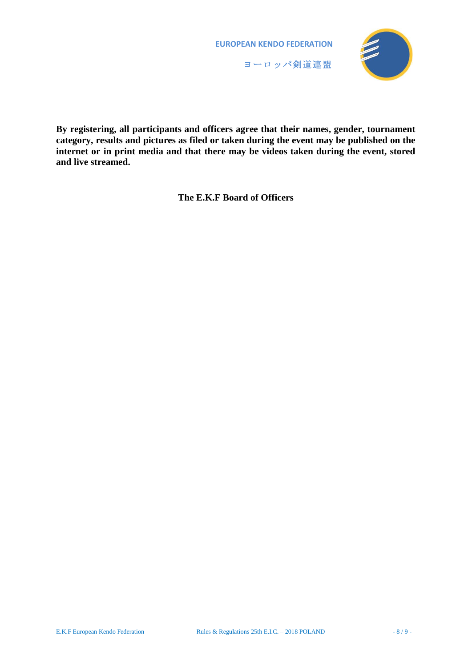



**By registering, all participants and officers agree that their names, gender, tournament category, results and pictures as filed or taken during the event may be published on the internet or in print media and that there may be videos taken during the event, stored and live streamed.**

**The E.K.F Board of Officers**